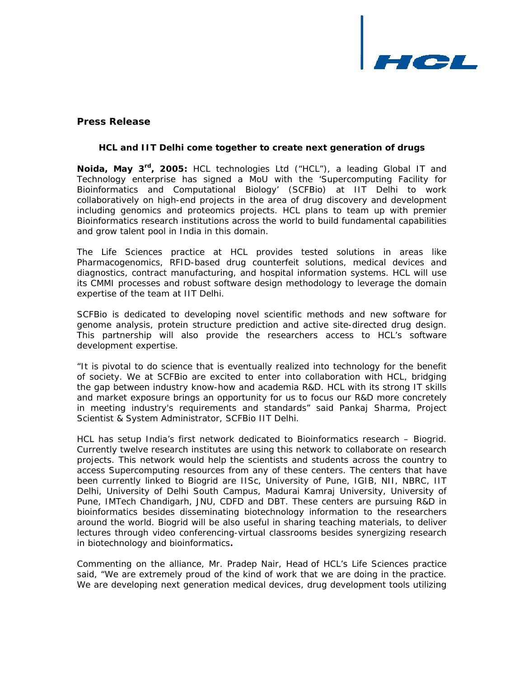

# **Press Release**

## *HCL and IIT Delhi come together to create next generation of drugs*

**Noida, May 3<sup>rd</sup>, 2005:** HCL technologies Ltd ("HCL"), a leading Global IT and Technology enterprise has signed a MoU with the 'Supercomputing Facility for Bioinformatics and Computational Biology' (SCFBio) at IIT Delhi to work collaboratively on high-end projects in the area of drug discovery and development including genomics and proteomics projects. HCL plans to team up with premier Bioinformatics research institutions across the world to build fundamental capabilities and grow talent pool in India in this domain.

The Life Sciences practice at HCL provides tested solutions in areas like Pharmacogenomics, RFID-based drug counterfeit solutions, medical devices and diagnostics, contract manufacturing, and hospital information systems. HCL will use its CMMI processes and robust software design methodology to leverage the domain expertise of the team at IIT Delhi.

SCFBio is dedicated to developing novel scientific methods and new software for genome analysis, protein structure prediction and active site-directed drug design. This partnership will also provide the researchers access to HCL's software development expertise.

"It is pivotal to do science that is eventually realized into technology for the benefit of society. We at SCFBio are excited to enter into collaboration with HCL, bridging the gap between industry know-how and academia R&D. HCL with its strong IT skills and market exposure brings an opportunity for us to focus our R&D more concretely in meeting industry's requirements and standards" said Pankaj Sharma, Project Scientist & System Administrator, SCFBio IIT Delhi.

HCL has setup India's first network dedicated to Bioinformatics research – Biogrid. Currently twelve research institutes are using this network to collaborate on research projects. This network would help the scientists and students across the country to access Supercomputing resources from any of these centers. The centers that have been currently linked to Biogrid are IISc, University of Pune, IGIB, NII, NBRC, IIT Delhi, University of Delhi South Campus, Madurai Kamraj University, University of Pune, IMTech Chandigarh, JNU, CDFD and DBT. These centers are pursuing R&D in bioinformatics besides disseminating biotechnology information to the researchers around the world. Biogrid will be also useful in sharing teaching materials, to deliver lectures through video conferencing-virtual classrooms besides synergizing research in biotechnology and bioinformatics**.** 

Commenting on the alliance, Mr. Pradep Nair, Head of HCL's Life Sciences practice said, "We are extremely proud of the kind of work that we are doing in the practice. We are developing next generation medical devices, drug development tools utilizing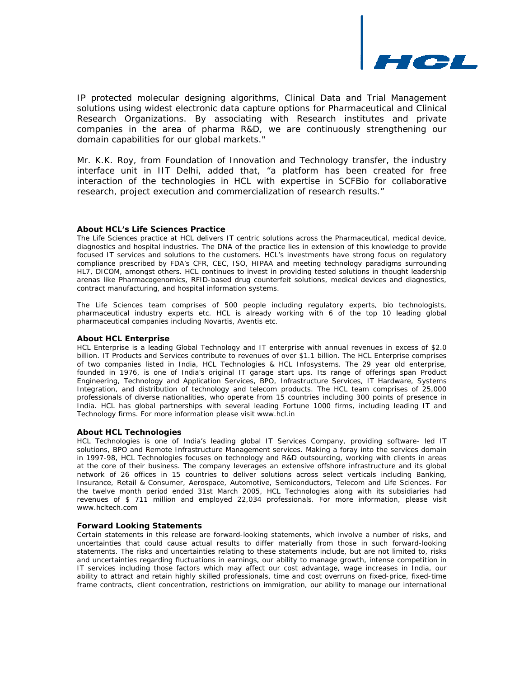

IP protected molecular designing algorithms, Clinical Data and Trial Management solutions using widest electronic data capture options for Pharmaceutical and Clinical Research Organizations. By associating with Research institutes and private companies in the area of pharma R&D, we are continuously strengthening our domain capabilities for our global markets."

Mr. K.K. Roy, from Foundation of Innovation and Technology transfer, the industry interface unit in IIT Delhi, added that, "a platform has been created for free interaction of the technologies in HCL with expertise in SCFBio for collaborative research, project execution and commercialization of research results."

#### **About HCL's Life Sciences Practice**

The Life Sciences practice at HCL delivers IT centric solutions across the Pharmaceutical, medical device, diagnostics and hospital industries. The DNA of the practice lies in extension of this knowledge to provide focused IT services and solutions to the customers. HCL's investments have strong focus on regulatory compliance prescribed by FDA's CFR, CEC, ISO, HIPAA and meeting technology paradigms surrounding HL7, DICOM, amongst others. HCL continues to invest in providing tested solutions in thought leadership arenas like Pharmacogenomics, RFID-based drug counterfeit solutions, medical devices and diagnostics, contract manufacturing, and hospital information systems.

The Life Sciences team comprises of 500 people including regulatory experts, bio technologists, pharmaceutical industry experts etc. HCL is already working with 6 of the top 10 leading global pharmaceutical companies including Novartis, Aventis etc.

#### **About HCL Enterprise**

HCL Enterprise is a leading Global Technology and IT enterprise with annual revenues in excess of \$2.0 billion. IT Products and Services contribute to revenues of over \$1.1 billion. The HCL Enterprise comprises of two companies listed in India, HCL Technologies & HCL Infosystems. The 29 year old enterprise, founded in 1976, is one of India's original IT garage start ups. Its range of offerings span Product Engineering, Technology and Application Services, BPO, Infrastructure Services, IT Hardware, Systems Integration, and distribution of technology and telecom products. The HCL team comprises of 25,000 professionals of diverse nationalities, who operate from 15 countries including 300 points of presence in India. HCL has global partnerships with several leading Fortune 1000 firms, including leading IT and Technology firms. For more information please visit [www.hcl.in](http://www.hcl.in/)

#### **About HCL Technologies**

HCL Technologies is one of India's leading global IT Services Company, providing software- led IT solutions, BPO and Remote Infrastructure Management services. Making a foray into the services domain in 1997-98, HCL Technologies focuses on technology and R&D outsourcing, working with clients in areas at the core of their business. The company leverages an extensive offshore infrastructure and its global network of 26 offices in 15 countries to deliver solutions across select verticals including Banking, Insurance, Retail & Consumer, Aerospace, Automotive, Semiconductors, Telecom and Life Sciences. For the twelve month period ended 31st March 2005, HCL Technologies along with its subsidiaries had revenues of \$ 711 million and employed 22,034 professionals. For more information, please visit www.hcltech.com

#### **Forward Looking Statements**

Certain statements in this release are forward-looking statements, which involve a number of risks, and uncertainties that could cause actual results to differ materially from those in such forward-looking statements. The risks and uncertainties relating to these statements include, but are not limited to, risks and uncertainties regarding fluctuations in earnings, our ability to manage growth, intense competition in IT services including those factors which may affect our cost advantage, wage increases in India, our ability to attract and retain highly skilled professionals, time and cost overruns on fixed-price, fixed-time frame contracts, client concentration, restrictions on immigration, our ability to manage our international